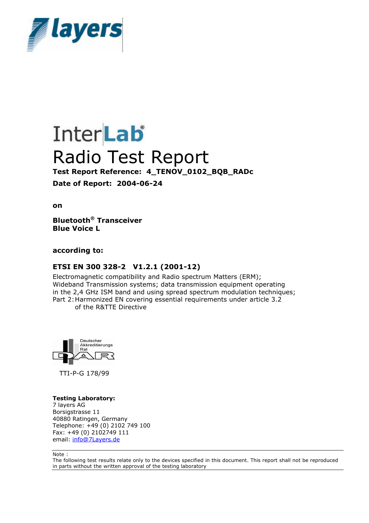

# **InterLab** Radio Test Report **Test Report Reference: 4\_TENOV\_0102\_BQB\_RADc Date of Report: 2004-06-24**

**on**

**Bluetooth® Transceiver Blue Voice L**

**according to:**

### **ETSI EN 300 328-2 V1.2.1 (2001-12)**

Electromagnetic compatibility and Radio spectrum Matters (ERM); Wideband Transmission systems; data transmission equipment operating in the 2,4 GHz ISM band and using spread spectrum modulation techniques; Part 2: Harmonized EN covering essential requirements under article 3.2 of the R&TTE Directive

Deutscher



TTI-P-G 178/99

#### **Testing Laboratory:**

7 layers AG Borsigstrasse 11 40880 Ratingen, Germany Telephone: +49 (0) 2102 749 100 Fax: +49 (0) 2102749 111 email: info@7Layers.de

Note :

The following test results relate only to the devices specified in this document. This report shall not be reproduced in parts without the written approval of the testing laboratory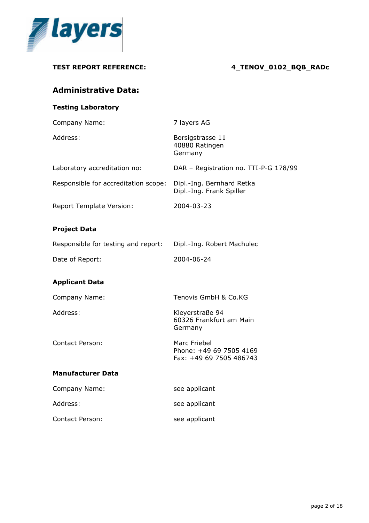

**TEST REPORT REFERENCE: 4\_TENOV\_0102\_BQB\_RADc Administrative Data: Testing Laboratory** Company Name: 7 layers AG Address: Borsigstrasse 11 40880 Ratingen Germany Laboratory accreditation no: DAR – Registration no. TTI-P-G 178/99 Responsible for accreditation scope: Dipl.-Ing. Bernhard Retka Dipl.-Ing. Frank Spiller Report Template Version: 2004-03-23 **Project Data** Responsible for testing and report: Dipl.-Ing. Robert Machulec Date of Report: 2004-06-24 **Applicant Data** Company Name: Tenovis GmbH & Co.KG Address: Kleyerstraße 94 60326 Frankfurt am Main Germany Contact Person: Marc Friebel Phone: +49 69 7505 4169 Fax: +49 69 7505 486743 **Manufacturer Data** Company Name: see applicant Address: see applicant Contact Person: See applicant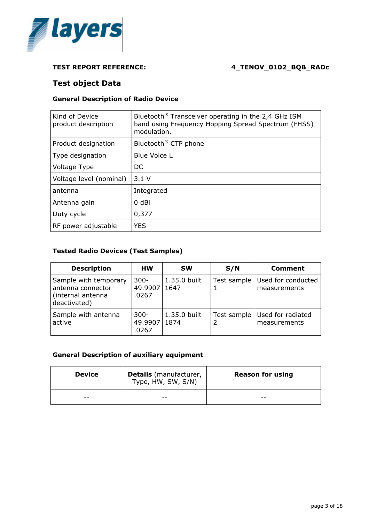

# **Test object Data**

### **General Description of Radio Device**

| Kind of Device<br>product description | Bluetooth <sup>®</sup> Transceiver operating in the 2,4 GHz ISM<br>band using Frequency Hopping Spread Spectrum (FHSS)<br>modulation. |
|---------------------------------------|---------------------------------------------------------------------------------------------------------------------------------------|
| Product designation                   | Bluetooth <sup>®</sup> CTP phone                                                                                                      |
| Type designation                      | Blue Voice L                                                                                                                          |
| Voltage Type                          | DC                                                                                                                                    |
| Voltage level (nominal)               | 3.1V                                                                                                                                  |
| antenna                               | Integrated                                                                                                                            |
| Antenna gain                          | 0 dBi                                                                                                                                 |
| Duty cycle                            | 0,377                                                                                                                                 |
| RF power adjustable                   | <b>YES</b>                                                                                                                            |

#### **Tested Radio Devices (Test Samples)**

| <b>Description</b>                                                              | нw                          | <b>SW</b>            | S/N         | Comment                            |
|---------------------------------------------------------------------------------|-----------------------------|----------------------|-------------|------------------------------------|
| Sample with temporary<br>antenna connector<br>(internal antenna<br>deactivated) | $300 -$<br>49.9907<br>.0267 | 1.35.0 built<br>1647 | Test sample | Used for conducted<br>measurements |
| Sample with antenna<br>active                                                   | $300 -$<br>49.9907<br>.0267 | 1.35.0 built<br>1874 | Test sample | Used for radiated<br>measurements  |

#### **General Description of auxiliary equipment**

| <b>Device</b> | <b>Details</b> (manufacturer,<br>Type, HW, SW, S/N) | <b>Reason for using</b> |
|---------------|-----------------------------------------------------|-------------------------|
| --            | --                                                  | --                      |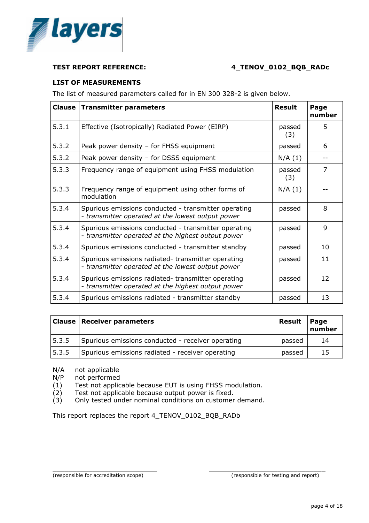

#### **LIST OF MEASUREMENTS**

The list of measured parameters called for in EN 300 328-2 is given below.

|       | <b>Clause   Transmitter parameters</b>                                                                     | <b>Result</b> | Page<br>number |
|-------|------------------------------------------------------------------------------------------------------------|---------------|----------------|
| 5.3.1 | Effective (Isotropically) Radiated Power (EIRP)                                                            | passed<br>(3) | 5              |
| 5.3.2 | Peak power density - for FHSS equipment                                                                    | passed        | 6              |
| 5.3.2 | Peak power density - for DSSS equipment                                                                    | N/A(1)        |                |
| 5.3.3 | Frequency range of equipment using FHSS modulation                                                         | passed<br>(3) | 7              |
| 5.3.3 | Frequency range of equipment using other forms of<br>modulation                                            | N/A(1)        |                |
| 5.3.4 | Spurious emissions conducted - transmitter operating<br>- transmitter operated at the lowest output power  | passed        | 8              |
| 5.3.4 | Spurious emissions conducted - transmitter operating<br>- transmitter operated at the highest output power | passed        | $\mathsf{Q}$   |
| 5.3.4 | Spurious emissions conducted - transmitter standby                                                         | passed        | 10             |
| 5.3.4 | Spurious emissions radiated-transmitter operating<br>- transmitter operated at the lowest output power     | passed        | 11             |
| 5.3.4 | Spurious emissions radiated-transmitter operating<br>- transmitter operated at the highest output power    | passed        | 12             |
| 5.3.4 | Spurious emissions radiated - transmitter standby                                                          | passed        | 13             |

|       | <b>Clause   Receiver parameters</b>               | Result | Page<br>number |
|-------|---------------------------------------------------|--------|----------------|
| 5.3.5 | Spurious emissions conducted - receiver operating | passed | 14             |
| 5.3.5 | Spurious emissions radiated - receiver operating  | passed | 15             |

\_\_\_\_\_\_\_\_\_\_\_\_\_\_\_\_\_\_\_\_\_\_\_\_\_\_ \_\_\_\_\_\_\_\_\_\_\_\_\_\_\_\_\_\_\_\_\_\_\_\_\_\_\_\_\_

- N/A not applicable
- N/P not performed

(1) Test not applicable because EUT is using FHSS modulation.

- (2) Test not applicable because output power is fixed.
- (3) Only tested under nominal conditions on customer demand.

This report replaces the report 4\_TENOV\_0102\_BQB\_RADb

(responsible for accreditation scope) (responsible for testing and report)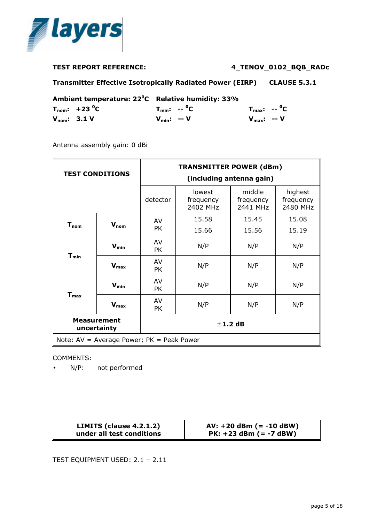

**Transmitter Effective Isotropically Radiated Power (EIRP) CLAUSE 5.3.1**

| Ambient temperature: 22 <sup>o</sup> C Relative humidity: 33% |                                       |                         |                                      |  |
|---------------------------------------------------------------|---------------------------------------|-------------------------|--------------------------------------|--|
|                                                               | $T_{\text{nom}}$ : +23 <sup>o</sup> C | $T_{min}: -°C$          | $T_{\text{max}}$ : -- <sup>0</sup> C |  |
|                                                               | $V_{nom}$ : 3.1 V                     | $V_{\text{min}}$ : -- V | $V_{\text{max}}$ : -- V              |  |

Antenna assembly gain: 0 dBi

| <b>TEST CONDITIONS</b>            |                  | <b>TRANSMITTER POWER (dBm)</b><br>(including antenna gain) |                                 |                                 |                                  |  |
|-----------------------------------|------------------|------------------------------------------------------------|---------------------------------|---------------------------------|----------------------------------|--|
|                                   |                  | detector                                                   | lowest<br>frequency<br>2402 MHz | middle<br>frequency<br>2441 MHz | highest<br>frequency<br>2480 MHz |  |
| $T_{nom}$                         | $V_{nom}$        | AV                                                         | 15.58                           | 15.45                           | 15.08                            |  |
|                                   |                  | <b>PK</b>                                                  | 15.66                           | 15.56                           | 15.19                            |  |
| $T_{min}$                         | $V_{min}$        | AV<br>PK                                                   | N/P                             | N/P                             | N/P                              |  |
|                                   | $V_{\text{max}}$ | AV<br><b>PK</b>                                            | N/P                             | N/P                             | N/P                              |  |
|                                   | $V_{min}$        | AV<br><b>PK</b>                                            | N/P                             | N/P                             | N/P                              |  |
| $T_{\text{max}}$                  | $V_{\text{max}}$ | AV<br><b>PK</b>                                            | N/P                             | N/P                             | N/P                              |  |
| <b>Measurement</b><br>uncertainty |                  |                                                            |                                 | $±$ 1.2 dB                      |                                  |  |
|                                   |                  | Note: AV = Average Power; PK = Peak Power                  |                                 |                                 |                                  |  |

#### COMMENTS:

• N/P: not performed

| LIMITS (clause 4.2.1.2)   | $AV: +20$ dBm (= -10 dBW) |
|---------------------------|---------------------------|
| under all test conditions | $PK: +23$ dBm (= -7 dBW)  |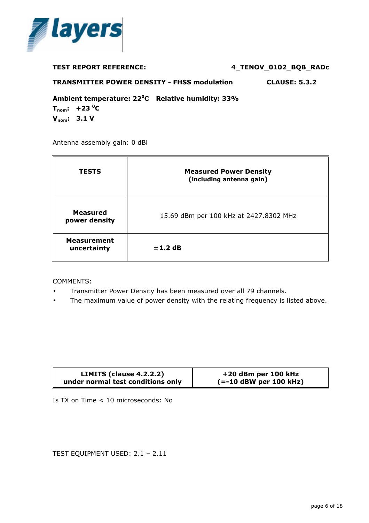

| <b>TEST REPORT REFERENCE:</b> | 4_TENOV_0102_BQB_RADc |
|-------------------------------|-----------------------|
|                               |                       |

**TRANSMITTER POWER DENSITY - FHSS modulation CLAUSE: 5.3.2** 

**Ambient temperature: 22<sup>0</sup>C Relative humidity: 33%**

 $T_{\text{nom}}$ : +23 $\text{^0C}$ **Vnom: 3.1 V**

Antenna assembly gain: 0 dBi

| <b>TESTS</b>                      | <b>Measured Power Density</b><br>(including antenna gain) |
|-----------------------------------|-----------------------------------------------------------|
| <b>Measured</b><br>power density  | 15.69 dBm per 100 kHz at 2427.8302 MHz                    |
| <b>Measurement</b><br>uncertainty | $± 1.2$ dB                                                |

COMMENTS:

- Transmitter Power Density has been measured over all 79 channels.
- The maximum value of power density with the relating frequency is listed above.

| LIMITS (clause $4.2.2.2$ )        | +20 dBm per 100 kHz      |
|-----------------------------------|--------------------------|
| under normal test conditions only | $(==10$ dBW per 100 kHz) |

Is TX on Time < 10 microseconds: No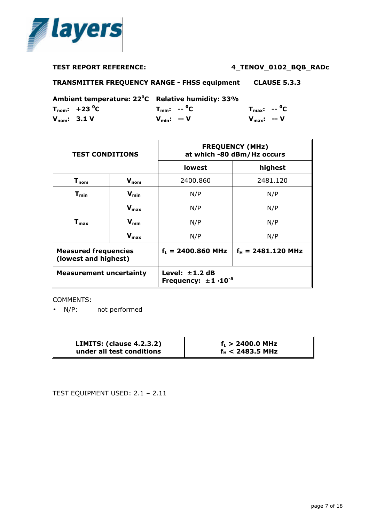

**TRANSMITTER FREQUENCY RANGE - FHSS equipment CLAUSE 5.3.3**

**Ambient temperature: 22<sup>0</sup>C Relative humidity: 33%**

|                  | $T_{\text{nom}}$ : +23 <sup>o</sup> C |                         | $T_{min}$ : -- <sup>0</sup> C | $T_{\text{max}}$ : -- <sup>o</sup> C |  |
|------------------|---------------------------------------|-------------------------|-------------------------------|--------------------------------------|--|
| $V_{nom}: 3.1 V$ |                                       | $V_{\text{min}}$ : -- V |                               | $V_{\text{max}}$ : -- V              |  |

| <b>TEST CONDITIONS</b>                              |                  | <b>FREQUENCY (MHz)</b><br>at which -80 dBm/Hz occurs |                              |
|-----------------------------------------------------|------------------|------------------------------------------------------|------------------------------|
|                                                     |                  | lowest                                               | highest                      |
| $T_{nom}$                                           | $V_{nom}$        | 2400.860                                             | 2481.120                     |
| $\mathbf{T}_{\mathbf{min}}$                         | $V_{min}$        | N/P                                                  | N/P                          |
|                                                     | $V_{\text{max}}$ | N/P                                                  | N/P                          |
| $\mathsf{T}_{\mathsf{max}}$                         | $V_{min}$        | N/P                                                  | N/P                          |
|                                                     | $V_{max}$        | N/P                                                  | N/P                          |
| <b>Measured frequencies</b><br>(lowest and highest) |                  | $f_L = 2400.860 \text{ MHz}$                         | $f_H = 2481.120 \text{ MHz}$ |
| <b>Measurement uncertainty</b>                      |                  | Level: $\pm$ 1.2 dB<br>Frequency: $\pm 1.10^{-5}$    |                              |

COMMENTS:

• N/P: not performed

| <b>LIMITS: (clause 4.2.3.2)</b> | $f_L > 2400.0$ MHz |
|---------------------------------|--------------------|
| under all test conditions       | $f_H < 2483.5$ MHz |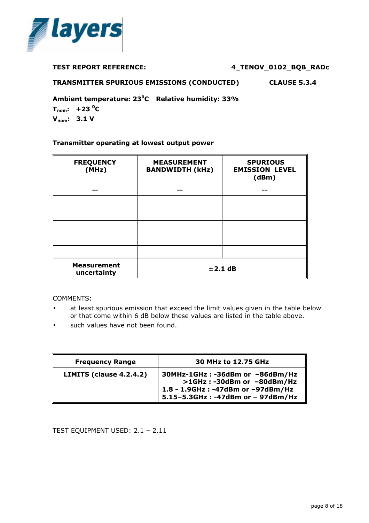

**TRANSMITTER SPURIOUS EMISSIONS (CONDUCTED) CLAUSE 5.3.4** 

**Ambient temperature: 23<sup>0</sup>C Relative humidity: 33%**

 $T_{\text{nom}}$ : +23 <sup>o</sup>C **Vnom: 3.1 V**

#### **Transmitter operating at lowest output power**

| <b>FREQUENCY</b><br>(MHz)         | <b>MEASUREMENT</b><br><b>BANDWIDTH (kHz)</b> | <b>SPURIOUS</b><br><b>EMISSION LEVEL</b><br>(dBm) |
|-----------------------------------|----------------------------------------------|---------------------------------------------------|
|                                   |                                              |                                                   |
|                                   |                                              |                                                   |
|                                   |                                              |                                                   |
|                                   |                                              |                                                   |
|                                   |                                              |                                                   |
|                                   |                                              |                                                   |
| <b>Measurement</b><br>uncertainty | ± 2.1 dB                                     |                                                   |

COMMENTS:

- at least spurious emission that exceed the limit values given in the table below or that come within 6 dB below these values are listed in the table above.
- such values have not been found.

| <b>Frequency Range</b>  | 30 MHz to 12.75 GHz                                                                                                                      |
|-------------------------|------------------------------------------------------------------------------------------------------------------------------------------|
| LIMITS (clause 4.2.4.2) | 30MHz-1GHz: -36dBm or -86dBm/Hz<br>>1GHz: -30dBm or -80dBm/Hz<br>1.8 - 1.9GHz : -47dBm or -97dBm/Hz<br>5.15-5.3GHz: -47dBm or - 97dBm/Hz |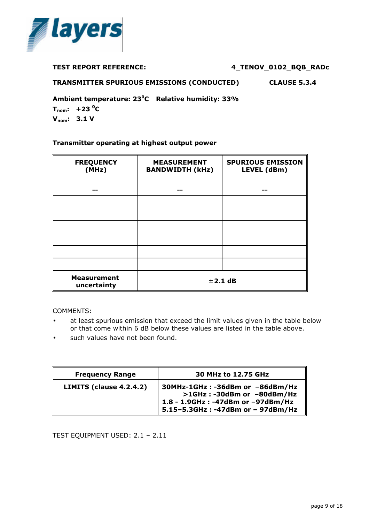

**TRANSMITTER SPURIOUS EMISSIONS (CONDUCTED) CLAUSE 5.3.4**

**Ambient temperature: 23<sup>0</sup>C Relative humidity: 33%**

 $T_{\text{nom}}$ : +23 <sup>o</sup>C **Vnom: 3.1 V**

### **Transmitter operating at highest output power**

| <b>FREQUENCY</b><br>(MHz)         | <b>MEASUREMENT</b><br><b>BANDWIDTH (kHz)</b> | <b>SPURIOUS EMISSION</b><br>LEVEL (dBm) |
|-----------------------------------|----------------------------------------------|-----------------------------------------|
|                                   |                                              |                                         |
|                                   |                                              |                                         |
|                                   |                                              |                                         |
|                                   |                                              |                                         |
|                                   |                                              |                                         |
|                                   |                                              |                                         |
|                                   |                                              |                                         |
| <b>Measurement</b><br>uncertainty | $±$ 2.1 dB                                   |                                         |

COMMENTS:

- at least spurious emission that exceed the limit values given in the table below or that come within 6 dB below these values are listed in the table above.
- such values have not been found.

| <b>Frequency Range</b>  | 30 MHz to 12.75 GHz                                                                                                                      |
|-------------------------|------------------------------------------------------------------------------------------------------------------------------------------|
| LIMITS (clause 4.2.4.2) | 30MHz-1GHz: -36dBm or -86dBm/Hz<br>>1GHz: -30dBm or -80dBm/Hz<br>1.8 - 1.9GHz : -47dBm or -97dBm/Hz<br>5.15-5.3GHz: -47dBm or - 97dBm/Hz |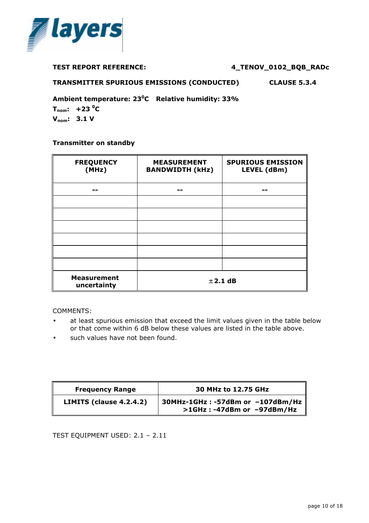

| <b>TEST REPORT REFERENCE:</b> | 4_TENOV_0102_BQB_RADc |  |  |  |
|-------------------------------|-----------------------|--|--|--|
|-------------------------------|-----------------------|--|--|--|

**TRANSMITTER SPURIOUS EMISSIONS (CONDUCTED) CLAUSE 5.3.4**

**Ambient temperature: 23<sup>0</sup>C Relative humidity: 33%**

 $T_{\text{nom}}$ : +23 <sup>o</sup>C **Vnom: 3.1 V**

#### **Transmitter on standby**

| <b>FREQUENCY</b><br>(MHz)         | <b>MEASUREMENT</b><br><b>BANDWIDTH (kHz)</b> | <b>SPURIOUS EMISSION</b><br>LEVEL (dBm) |
|-----------------------------------|----------------------------------------------|-----------------------------------------|
|                                   |                                              |                                         |
|                                   |                                              |                                         |
|                                   |                                              |                                         |
|                                   |                                              |                                         |
|                                   |                                              |                                         |
|                                   |                                              |                                         |
| <b>Measurement</b><br>uncertainty | $±$ 2.1 dB                                   |                                         |

COMMENTS:

- at least spurious emission that exceed the limit values given in the table below or that come within 6 dB below these values are listed in the table above.
- such values have not been found.

| <b>Frequency Range</b>  | 30 MHz to 12.75 GHz                                            |
|-------------------------|----------------------------------------------------------------|
| LIMITS (clause 4.2.4.2) | 30MHz-1GHz: -57dBm or -107dBm/Hz<br>>1GHz: -47dBm or -97dBm/Hz |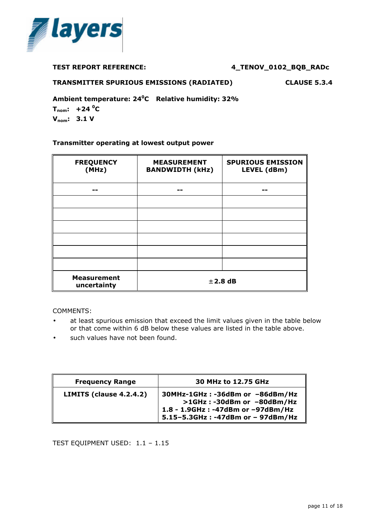

#### **TRANSMITTER SPURIOUS EMISSIONS (RADIATED) CLAUSE 5.3.4**

**Ambient temperature: 24<sup>0</sup>C Relative humidity: 32%**

 $T_{\text{nom}}$ : +24 $\text{^0C}$ **Vnom: 3.1 V**

#### **Transmitter operating at lowest output power**

| <b>FREQUENCY</b><br>(MHz)         | <b>MEASUREMENT</b><br><b>BANDWIDTH (kHz)</b> | <b>SPURIOUS EMISSION</b><br>LEVEL (dBm) |
|-----------------------------------|----------------------------------------------|-----------------------------------------|
|                                   |                                              |                                         |
|                                   |                                              |                                         |
|                                   |                                              |                                         |
|                                   |                                              |                                         |
|                                   |                                              |                                         |
|                                   |                                              |                                         |
|                                   |                                              |                                         |
| <b>Measurement</b><br>uncertainty | $±$ 2.8 dB                                   |                                         |

COMMENTS:

- at least spurious emission that exceed the limit values given in the table below or that come within 6 dB below these values are listed in the table above.
- such values have not been found.

| <b>Frequency Range</b>  | 30 MHz to 12.75 GHz                                                                                                                      |
|-------------------------|------------------------------------------------------------------------------------------------------------------------------------------|
| LIMITS (clause 4.2.4.2) | 30MHz-1GHz: -36dBm or -86dBm/Hz<br>>1GHz: -30dBm or -80dBm/Hz<br>1.8 - 1.9GHz : -47dBm or -97dBm/Hz<br>5.15-5.3GHz: -47dBm or - 97dBm/Hz |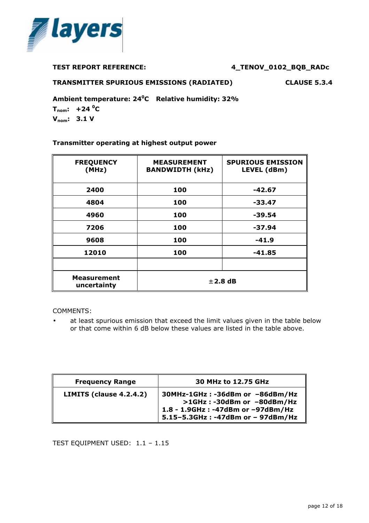

#### **TRANSMITTER SPURIOUS EMISSIONS (RADIATED) CLAUSE 5.3.4**

**Ambient temperature: 24<sup>0</sup>C Relative humidity: 32%**

 $T_{\text{nom}}$ : +24 $\text{^0C}$ **Vnom: 3.1 V**

#### **Transmitter operating at highest output power**

| <b>FREQUENCY</b><br>(MHz)         | <b>MEASUREMENT</b><br><b>BANDWIDTH (kHz)</b> | <b>SPURIOUS EMISSION</b><br>LEVEL (dBm) |
|-----------------------------------|----------------------------------------------|-----------------------------------------|
| 2400                              | 100                                          | -42.67                                  |
| 4804                              | 100                                          | -33.47                                  |
| 4960                              | 100                                          | -39.54                                  |
| 7206                              | 100                                          | -37.94                                  |
| 9608                              | 100                                          | $-41.9$                                 |
| 12010                             | 100                                          | $-41.85$                                |
|                                   |                                              |                                         |
| <b>Measurement</b><br>uncertainty | $\pm$ 2.8 dB                                 |                                         |

COMMENTS:

at least spurious emission that exceed the limit values given in the table below or that come within 6 dB below these values are listed in the table above.

| <b>Frequency Range</b>  | 30 MHz to 12.75 GHz                                                                                                                      |
|-------------------------|------------------------------------------------------------------------------------------------------------------------------------------|
| LIMITS (clause 4.2.4.2) | 30MHz-1GHz: -36dBm or -86dBm/Hz<br>>1GHz: -30dBm or -80dBm/Hz<br>1.8 - 1.9GHz : -47dBm or -97dBm/Hz<br>5.15-5.3GHz: -47dBm or - 97dBm/Hz |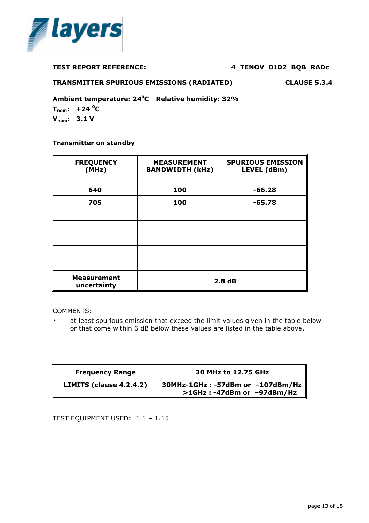

#### **TRANSMITTER SPURIOUS EMISSIONS (RADIATED) CLAUSE 5.3.4**

**Ambient temperature: 24<sup>0</sup>C Relative humidity: 32%**

 $T_{\text{nom}}$ : +24 $\text{^0C}$ **Vnom: 3.1 V**

#### **Transmitter on standby**

| <b>FREQUENCY</b><br>(MHz)         | <b>MEASUREMENT</b><br><b>BANDWIDTH (kHz)</b> | <b>SPURIOUS EMISSION</b><br>LEVEL (dBm) |  |
|-----------------------------------|----------------------------------------------|-----------------------------------------|--|
| 640                               | 100                                          | $-66.28$                                |  |
| 705                               | 100                                          | $-65.78$                                |  |
|                                   |                                              |                                         |  |
|                                   |                                              |                                         |  |
|                                   |                                              |                                         |  |
|                                   |                                              |                                         |  |
|                                   |                                              |                                         |  |
| <b>Measurement</b><br>uncertainty | $±$ 2.8 dB                                   |                                         |  |

COMMENTS:

• at least spurious emission that exceed the limit values given in the table below or that come within 6 dB below these values are listed in the table above.

| <b>Frequency Range</b>  | 30 MHz to 12.75 GHz                                            |
|-------------------------|----------------------------------------------------------------|
| LIMITS (clause 4.2.4.2) | 30MHz-1GHz: -57dBm or -107dBm/Hz<br>>1GHz: -47dBm or -97dBm/Hz |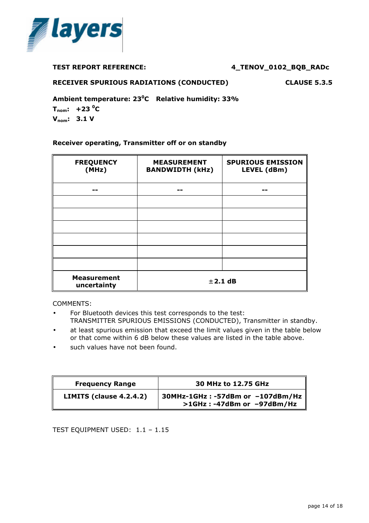

#### **RECEIVER SPURIOUS RADIATIONS (CONDUCTED) CLAUSE 5.3.5**

**Ambient temperature: 23<sup>0</sup>C Relative humidity: 33%**

 $T_{\text{nom}}$ : +23 $\text{^0C}$ **Vnom: 3.1 V**

#### **Receiver operating, Transmitter off or on standby**

| <b>FREQUENCY</b><br>(MHz)         | <b>MEASUREMENT</b><br><b>BANDWIDTH (kHz)</b> | <b>SPURIOUS EMISSION</b><br>LEVEL (dBm) |  |
|-----------------------------------|----------------------------------------------|-----------------------------------------|--|
|                                   |                                              |                                         |  |
|                                   |                                              |                                         |  |
|                                   |                                              |                                         |  |
|                                   |                                              |                                         |  |
|                                   |                                              |                                         |  |
|                                   |                                              |                                         |  |
|                                   |                                              |                                         |  |
| <b>Measurement</b><br>uncertainty | ± 2.1 dB                                     |                                         |  |

COMMENTS:

- For Bluetooth devices this test corresponds to the test: TRANSMITTER SPURIOUS EMISSIONS (CONDUCTED), Transmitter in standby.
- at least spurious emission that exceed the limit values given in the table below or that come within 6 dB below these values are listed in the table above.
- such values have not been found.

| <b>Frequency Range</b>  | 30 MHz to 12.75 GHz                                            |  |
|-------------------------|----------------------------------------------------------------|--|
| LIMITS (clause 4.2.4.2) | 30MHz-1GHz: -57dBm or -107dBm/Hz<br>>1GHz: -47dBm or -97dBm/Hz |  |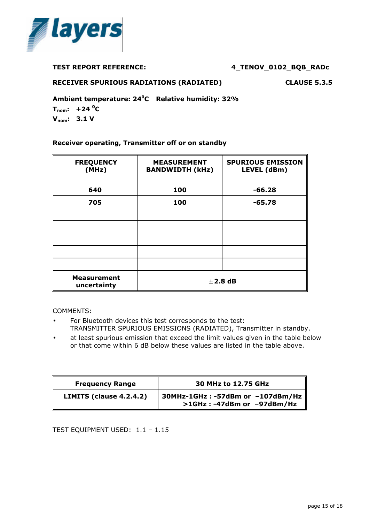

#### **RECEIVER SPURIOUS RADIATIONS (RADIATED) CLAUSE 5.3.5**

**Ambient temperature: 24<sup>0</sup>C Relative humidity: 32%**

 $T_{\text{nom}}$ : +24 <sup>o</sup>C **Vnom: 3.1 V**

#### **Receiver operating, Transmitter off or on standby**

| <b>FREQUENCY</b><br>(MHz)         | <b>MEASUREMENT</b><br><b>BANDWIDTH (kHz)</b> | <b>SPURIOUS EMISSION</b><br>LEVEL (dBm) |  |
|-----------------------------------|----------------------------------------------|-----------------------------------------|--|
| 640                               | 100                                          | $-66.28$                                |  |
| 705                               | 100                                          | $-65.78$                                |  |
|                                   |                                              |                                         |  |
|                                   |                                              |                                         |  |
|                                   |                                              |                                         |  |
|                                   |                                              |                                         |  |
|                                   |                                              |                                         |  |
| <b>Measurement</b><br>uncertainty | $±$ 2.8 dB                                   |                                         |  |

COMMENTS:

- For Bluetooth devices this test corresponds to the test: TRANSMITTER SPURIOUS EMISSIONS (RADIATED), Transmitter in standby.
- at least spurious emission that exceed the limit values given in the table below or that come within 6 dB below these values are listed in the table above.

| <b>Frequency Range</b>  | 30 MHz to 12.75 GHz                                            |  |
|-------------------------|----------------------------------------------------------------|--|
| LIMITS (clause 4.2.4.2) | 30MHz-1GHz: -57dBm or -107dBm/Hz<br>>1GHz: -47dBm or -97dBm/Hz |  |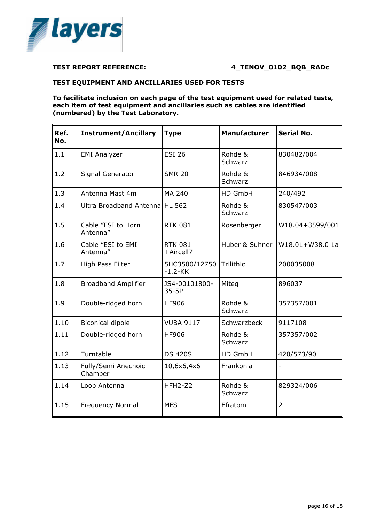

#### **TEST EQUIPMENT AND ANCILLARIES USED FOR TESTS**

**To facilitate inclusion on each page of the test equipment used for related tests, each item of test equipment and ancillaries such as cables are identified (numbered) by the Test Laboratory.**

| Ref.<br>No. | <b>Instrument/Ancillary</b>    | <b>Type</b>                 | <b>Manufacturer</b> | <b>Serial No.</b> |
|-------------|--------------------------------|-----------------------------|---------------------|-------------------|
| 1.1         | <b>EMI Analyzer</b>            | <b>ESI 26</b>               | Rohde &<br>Schwarz  | 830482/004        |
| 1.2         | Signal Generator               | <b>SMR 20</b>               | Rohde &<br>Schwarz  | 846934/008        |
| 1.3         | Antenna Mast 4m                | MA 240                      | HD GmbH             | 240/492           |
| 1.4         | Ultra Broadband Antenna        | <b>HL 562</b>               | Rohde &<br>Schwarz  | 830547/003        |
| 1.5         | Cable "ESI to Horn<br>Antenna" | <b>RTK 081</b>              | Rosenberger         | W18.04+3599/001   |
| 1.6         | Cable "ESI to EMI<br>Antenna"  | <b>RTK 081</b><br>+Aircell7 | Huber & Suhner      | W18.01+W38.0 1a   |
| 1.7         | High Pass Filter               | 5HC3500/12750<br>$-1.2-KK$  | Trilithic           | 200035008         |
| 1.8         | <b>Broadband Amplifier</b>     | JS4-00101800-<br>$35-5P$    | Miteg               | 896037            |
| 1.9         | Double-ridged horn             | <b>HF906</b>                | Rohde &<br>Schwarz  | 357357/001        |
| 1.10        | <b>Biconical dipole</b>        | <b>VUBA 9117</b>            | Schwarzbeck         | 9117108           |
| 1.11        | Double-ridged horn             | <b>HF906</b>                | Rohde &<br>Schwarz  | 357357/002        |
| 1.12        | Turntable                      | <b>DS 420S</b>              | HD GmbH             | 420/573/90        |
| 1.13        | Fully/Semi Anechoic<br>Chamber | 10,6x6,4x6                  | Frankonia           |                   |
| 1.14        | Loop Antenna                   | HFH2-Z2                     | Rohde &<br>Schwarz  | 829324/006        |
| 1.15        | <b>Frequency Normal</b>        | <b>MFS</b>                  | Efratom             | $\overline{2}$    |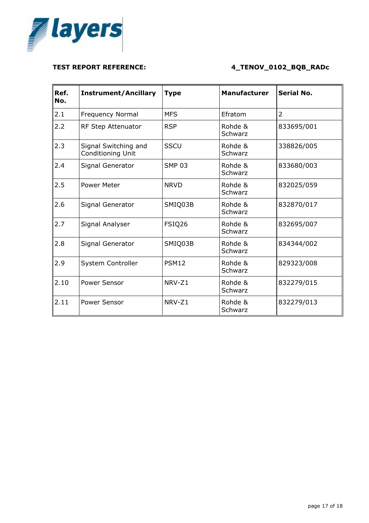

| Ref.<br>No. | <b>Instrument/Ancillary</b>               | <b>Type</b>   | <b>Manufacturer</b> | <b>Serial No.</b> |
|-------------|-------------------------------------------|---------------|---------------------|-------------------|
| 2.1         | <b>Frequency Normal</b>                   | <b>MFS</b>    | Efratom             | $\overline{2}$    |
| 2.2         | RF Step Attenuator                        | <b>RSP</b>    | Rohde &<br>Schwarz  | 833695/001        |
| 2.3         | Signal Switching and<br>Conditioning Unit | <b>SSCU</b>   | Rohde &<br>Schwarz  | 338826/005        |
| 2.4         | Signal Generator                          | <b>SMP 03</b> | Rohde &<br>Schwarz  | 833680/003        |
| 2.5         | <b>Power Meter</b>                        | <b>NRVD</b>   | Rohde &<br>Schwarz  | 832025/059        |
| 2.6         | Signal Generator                          | SMIQ03B       | Rohde &<br>Schwarz  | 832870/017        |
| 2.7         | Signal Analyser                           | FSIQ26        | Rohde &<br>Schwarz  | 832695/007        |
| 2.8         | Signal Generator                          | SMIQ03B       | Rohde &<br>Schwarz  | 834344/002        |
| 2.9         | System Controller                         | <b>PSM12</b>  | Rohde &<br>Schwarz  | 829323/008        |
| 2.10        | Power Sensor                              | NRV-Z1        | Rohde &<br>Schwarz  | 832279/015        |
| 2.11        | Power Sensor                              | NRV-Z1        | Rohde &<br>Schwarz  | 832279/013        |